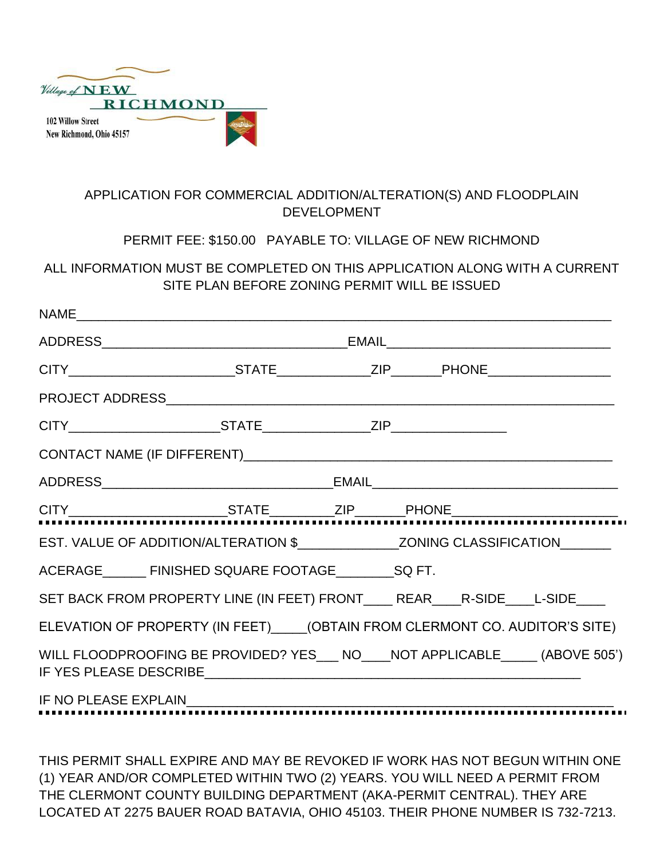

# APPLICATION FOR COMMERCIAL ADDITION/ALTERATION(S) AND FLOODPLAIN DEVELOPMENT

## PERMIT FEE: \$150.00 PAYABLE TO: VILLAGE OF NEW RICHMOND

# ALL INFORMATION MUST BE COMPLETED ON THIS APPLICATION ALONG WITH A CURRENT SITE PLAN BEFORE ZONING PERMIT WILL BE ISSUED

| EST. VALUE OF ADDITION/ALTERATION \$_______________________________ZONING CLASSIFICATION__________ |                                                                                  |  |  |  |  |
|----------------------------------------------------------------------------------------------------|----------------------------------------------------------------------------------|--|--|--|--|
|                                                                                                    | ACERAGE FINISHED SQUARE FOOTAGE SQ FT.                                           |  |  |  |  |
|                                                                                                    | SET BACK FROM PROPERTY LINE (IN FEET) FRONT_____ REAR_____R-SIDE_____L-SIDE_____ |  |  |  |  |
| ELEVATION OF PROPERTY (IN FEET) (OBTAIN FROM CLERMONT CO. AUDITOR'S SITE)                          |                                                                                  |  |  |  |  |
|                                                                                                    | WILL FLOODPROOFING BE PROVIDED? YES___ NO____NOT APPLICABLE_____ (ABOVE 505')    |  |  |  |  |
|                                                                                                    |                                                                                  |  |  |  |  |
|                                                                                                    |                                                                                  |  |  |  |  |

THIS PERMIT SHALL EXPIRE AND MAY BE REVOKED IF WORK HAS NOT BEGUN WITHIN ONE (1) YEAR AND/OR COMPLETED WITHIN TWO (2) YEARS. YOU WILL NEED A PERMIT FROM THE CLERMONT COUNTY BUILDING DEPARTMENT (AKA-PERMIT CENTRAL). THEY ARE LOCATED AT 2275 BAUER ROAD BATAVIA, OHIO 45103. THEIR PHONE NUMBER IS 732-7213.